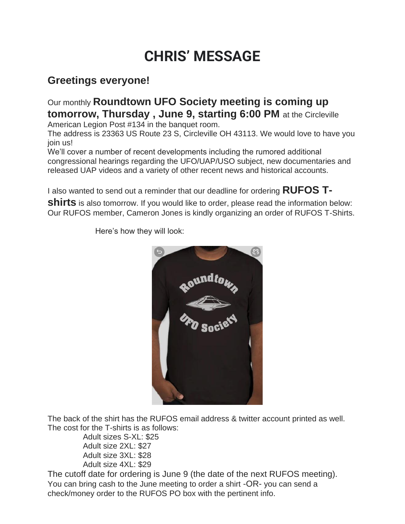## **CHRIS' MESSAGE**

## **Greetings everyone!**

Our monthly **Roundtown UFO Society meeting is coming up tomorrow, Thursday , June 9, starting 6:00 PM** at the Circleville

American Legion Post #134 in the banquet room.

The address is 23363 US Route 23 S, Circleville OH 43113. We would love to have you join us!

We'll cover a number of recent developments including the rumored additional congressional hearings regarding the UFO/UAP/USO subject, new documentaries and released UAP videos and a variety of other recent news and historical accounts.

I also wanted to send out a reminder that our deadline for ordering **RUFOS T-**

**shirts** is also tomorrow. If you would like to order, please read the information below: Our RUFOS member, Cameron Jones is kindly organizing an order of RUFOS T-Shirts.



Here's how they will look:

The back of the shirt has the RUFOS email address & twitter account printed as well. The cost for the T-shirts is as follows:

 Adult sizes S-XL: \$25 Adult size 2XL: \$27 Adult size 3XL: \$28 Adult size 4XL: \$29

The cutoff date for ordering is June 9 (the date of the next RUFOS meeting). You can bring cash to the June meeting to order a shirt -OR- you can send a check/money order to the RUFOS PO box with the pertinent info.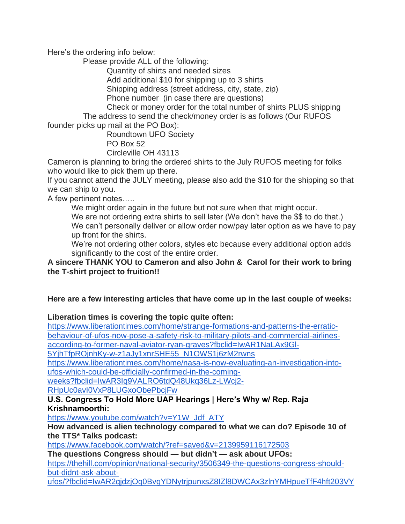Here's the ordering info below:

Please provide ALL of the following:

Quantity of shirts and needed sizes

Add additional \$10 for shipping up to 3 shirts

Shipping address (street address, city, state, zip)

Phone number (in case there are questions)

 Check or money order for the total number of shirts PLUS shipping The address to send the check/money order is as follows (Our RUFOS

founder picks up mail at the PO Box):

 Roundtown UFO Society PO Box 52

Circleville OH 43113

Cameron is planning to bring the ordered shirts to the July RUFOS meeting for folks who would like to pick them up there.

If you cannot attend the JULY meeting, please also add the \$10 for the shipping so that we can ship to you.

A few pertinent notes…..

We might order again in the future but not sure when that might occur.

We are not ordering extra shirts to sell later (We don't have the \$\$ to do that.) We can't personally deliver or allow order now/pay later option as we have to pay up front for the shirts.

We're not ordering other colors, styles etc because every additional option adds significantly to the cost of the entire order.

**A sincere THANK YOU to Cameron and also John & Carol for their work to bring the T-shirt project to fruition!!**

## **Here are a few interesting articles that have come up in the last couple of weeks:**

**Liberation times is covering the topic quite often:**

[https://www.liberationtimes.com/home/strange-formations-and-patterns-the-erratic](https://www.liberationtimes.com/home/strange-formations-and-patterns-the-erratic-behaviour-of-ufos-now-pose-a-safety-risk-to-military-pilots-and-commercial-airlines-according-to-former-naval-aviator-ryan-graves?fbclid=IwAR1NaLAx9Gl-5YjhTfpROjnhKy-w-z1aJy1xnrSHE55_N1OWS1j6zM2rwns)[behaviour-of-ufos-now-pose-a-safety-risk-to-military-pilots-and-commercial-airlines](https://www.liberationtimes.com/home/strange-formations-and-patterns-the-erratic-behaviour-of-ufos-now-pose-a-safety-risk-to-military-pilots-and-commercial-airlines-according-to-former-naval-aviator-ryan-graves?fbclid=IwAR1NaLAx9Gl-5YjhTfpROjnhKy-w-z1aJy1xnrSHE55_N1OWS1j6zM2rwns)[according-to-former-naval-aviator-ryan-graves?fbclid=IwAR1NaLAx9Gl-](https://www.liberationtimes.com/home/strange-formations-and-patterns-the-erratic-behaviour-of-ufos-now-pose-a-safety-risk-to-military-pilots-and-commercial-airlines-according-to-former-naval-aviator-ryan-graves?fbclid=IwAR1NaLAx9Gl-5YjhTfpROjnhKy-w-z1aJy1xnrSHE55_N1OWS1j6zM2rwns)

[5YjhTfpROjnhKy-w-z1aJy1xnrSHE55\\_N1OWS1j6zM2rwns](https://www.liberationtimes.com/home/strange-formations-and-patterns-the-erratic-behaviour-of-ufos-now-pose-a-safety-risk-to-military-pilots-and-commercial-airlines-according-to-former-naval-aviator-ryan-graves?fbclid=IwAR1NaLAx9Gl-5YjhTfpROjnhKy-w-z1aJy1xnrSHE55_N1OWS1j6zM2rwns)

[https://www.liberationtimes.com/home/nasa-is-now-evaluating-an-investigation-into](https://www.liberationtimes.com/home/nasa-is-now-evaluating-an-investigation-into-ufos-which-could-be-officially-confirmed-in-the-coming-weeks?fbclid=IwAR3Iq9VALRO6tdQ48Ukq36Lz-LWcj2-RHpUc0avI0VxP8LUGxoObePbcjFw)[ufos-which-could-be-officially-confirmed-in-the-coming-](https://www.liberationtimes.com/home/nasa-is-now-evaluating-an-investigation-into-ufos-which-could-be-officially-confirmed-in-the-coming-weeks?fbclid=IwAR3Iq9VALRO6tdQ48Ukq36Lz-LWcj2-RHpUc0avI0VxP8LUGxoObePbcjFw)

[weeks?fbclid=IwAR3Iq9VALRO6tdQ48Ukq36Lz-LWcj2-](https://www.liberationtimes.com/home/nasa-is-now-evaluating-an-investigation-into-ufos-which-could-be-officially-confirmed-in-the-coming-weeks?fbclid=IwAR3Iq9VALRO6tdQ48Ukq36Lz-LWcj2-RHpUc0avI0VxP8LUGxoObePbcjFw)

[RHpUc0avI0VxP8LUGxoObePbcjFw](https://www.liberationtimes.com/home/nasa-is-now-evaluating-an-investigation-into-ufos-which-could-be-officially-confirmed-in-the-coming-weeks?fbclid=IwAR3Iq9VALRO6tdQ48Ukq36Lz-LWcj2-RHpUc0avI0VxP8LUGxoObePbcjFw)

**U.S. Congress To Hold More UAP Hearings | Here's Why w/ Rep. Raja Krishnamoorthi:**

[https://www.youtube.com/watch?v=Y1W\\_Jdf\\_ATY](https://www.youtube.com/watch?v=Y1W_Jdf_ATY)

## **How advanced is alien technology compared to what we can do? Episode 10 of the TTS\* Talks podcast:**

<https://www.facebook.com/watch/?ref=saved&v=2139959116172503>

**The questions Congress should — but didn't — ask about UFOs:**

[https://thehill.com/opinion/national-security/3506349-the-questions-congress-should](https://thehill.com/opinion/national-security/3506349-the-questions-congress-should-but-didnt-ask-about-ufos/?fbclid=IwAR2qjdzjOq0BvgYDNytrjpunxsZ8IZl8DWCAx3zlnYMHpueTfF4hft203VY)[but-didnt-ask-about-](https://thehill.com/opinion/national-security/3506349-the-questions-congress-should-but-didnt-ask-about-ufos/?fbclid=IwAR2qjdzjOq0BvgYDNytrjpunxsZ8IZl8DWCAx3zlnYMHpueTfF4hft203VY)

[ufos/?fbclid=IwAR2qjdzjOq0BvgYDNytrjpunxsZ8IZl8DWCAx3zlnYMHpueTfF4hft203VY](https://thehill.com/opinion/national-security/3506349-the-questions-congress-should-but-didnt-ask-about-ufos/?fbclid=IwAR2qjdzjOq0BvgYDNytrjpunxsZ8IZl8DWCAx3zlnYMHpueTfF4hft203VY)